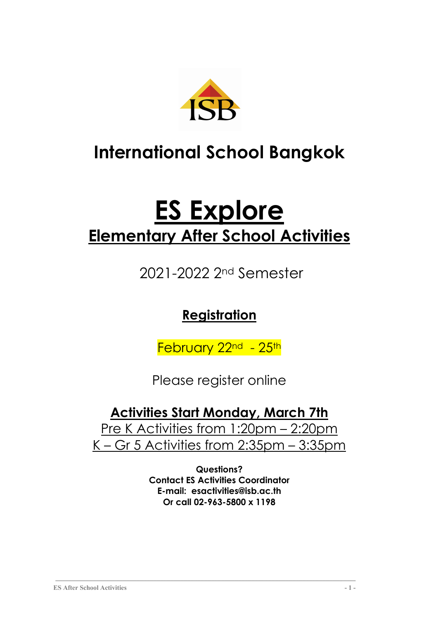

## **International School Bangkok**

# **ES Explore Elementary After School Activities**

2021-2022 2nd Semester

## **Registration**

February 22<sup>nd</sup> - 25<sup>th</sup>

Please register online

## **Activities Start Monday, March 7th**

Pre K Activities from 1:20pm - 2:20pm K – Gr 5 Activities from 2:35pm – 3:35pm

> **Questions? Contact ES Activities Coordinator E-mail: esactivities@isb.ac.th Or call 02-963-5800 x 1198**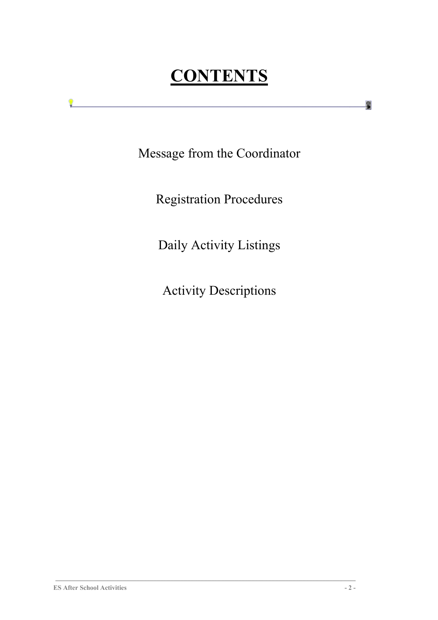## **CONTENTS**

Message from the Coordinator

Registration Procedures

Daily Activity Listings

Activity Descriptions

9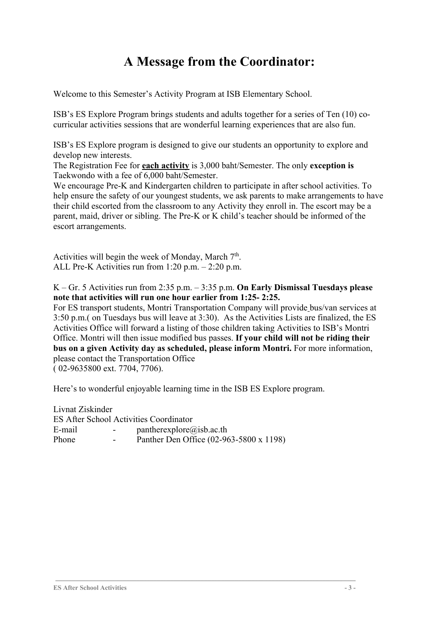## **A Message from the Coordinator:**

Welcome to this Semester's Activity Program at ISB Elementary School.

ISB's ES Explore Program brings students and adults together for a series of Ten (10) cocurricular activities sessions that are wonderful learning experiences that are also fun.

ISB's ES Explore program is designed to give our students an opportunity to explore and develop new interests.

The Registration Fee for **each activity** is 3,000 baht/Semester. The only **exception is** Taekwondo with a fee of 6,000 baht/Semester.

We encourage Pre-K and Kindergarten children to participate in after school activities. To help ensure the safety of our youngest students, we ask parents to make arrangements to have their child escorted from the classroom to any Activity they enroll in. The escort may be a parent, maid, driver or sibling. The Pre-K or K child's teacher should be informed of the escort arrangements.

Activities will begin the week of Monday, March  $7<sup>th</sup>$ . ALL Pre-K Activities run from 1:20 p.m. – 2:20 p.m.

K – Gr. 5 Activities run from 2:35 p.m. – 3:35 p.m. **On Early Dismissal Tuesdays please note that activities will run one hour earlier from 1:25- 2:25.**

For ES transport students, Montri Transportation Company will provide bus/van services at 3:50 p.m.( on Tuesdays bus will leave at 3:30). As the Activities Lists are finalized, the ES Activities Office will forward a listing of those children taking Activities to ISB's Montri Office. Montri will then issue modified bus passes. **If your child will not be riding their bus on a given Activity day as scheduled, please inform Montri.** For more information, please contact the Transportation Office

( 02-9635800 ext. 7704, 7706).

Here's to wonderful enjoyable learning time in the ISB ES Explore program.

| <b>ES After School Activities Coordinator</b> |
|-----------------------------------------------|
| $p$ antherexplore@isb.ac.th                   |
| Panther Den Office (02-963-5800 x 1198)       |
|                                               |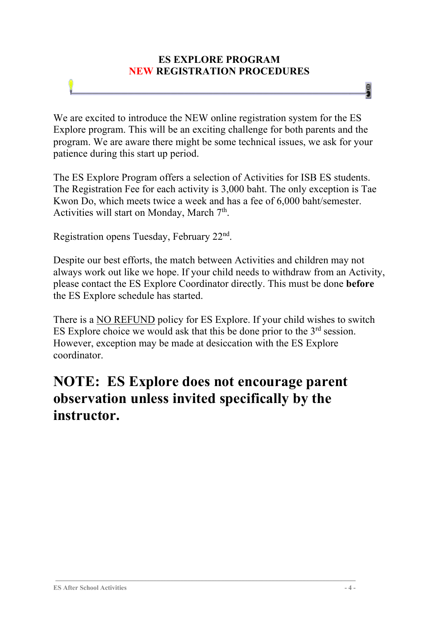#### **ES EXPLORE PROGRAM NEW REGISTRATION PROCEDURES**

We are excited to introduce the NEW online registration system for the ES Explore program. This will be an exciting challenge for both parents and the program. We are aware there might be some technical issues, we ask for your patience during this start up period.

The ES Explore Program offers a selection of Activities for ISB ES students. The Registration Fee for each activity is 3,000 baht. The only exception is Tae Kwon Do, which meets twice a week and has a fee of 6,000 baht/semester. Activities will start on Monday, March  $7<sup>th</sup>$ .

Registration opens Tuesday, February 22nd.

Despite our best efforts, the match between Activities and children may not always work out like we hope. If your child needs to withdraw from an Activity, please contact the ES Explore Coordinator directly. This must be done **before** the ES Explore schedule has started.

There is a NO REFUND policy for ES Explore. If your child wishes to switch ES Explore choice we would ask that this be done prior to the  $3<sup>rd</sup>$  session. However, exception may be made at desiccation with the ES Explore coordinator.

## **NOTE: ES Explore does not encourage parent observation unless invited specifically by the instructor.**

g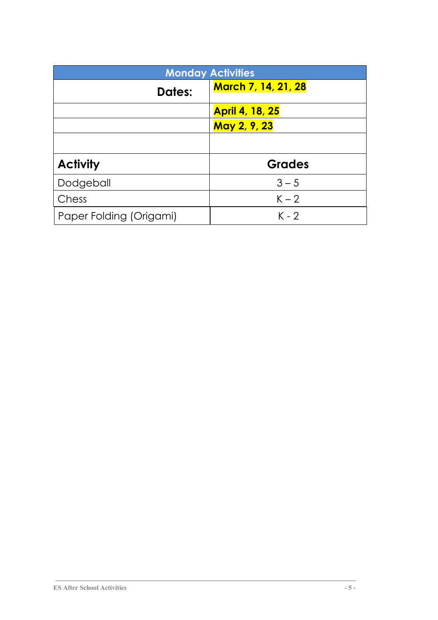|                         | <b>Monday Activities</b>   |
|-------------------------|----------------------------|
| <b>Dates:</b>           | <b>March 7, 14, 21, 28</b> |
|                         | <b>April 4, 18, 25</b>     |
|                         | May 2, 9, 23               |
|                         |                            |
| <b>Activity</b>         | <b>Grades</b>              |
| Dodgeball               | $3 - 5$                    |
| Chess                   | $K - 2$                    |
| Paper Folding (Origami) | $K - 2$                    |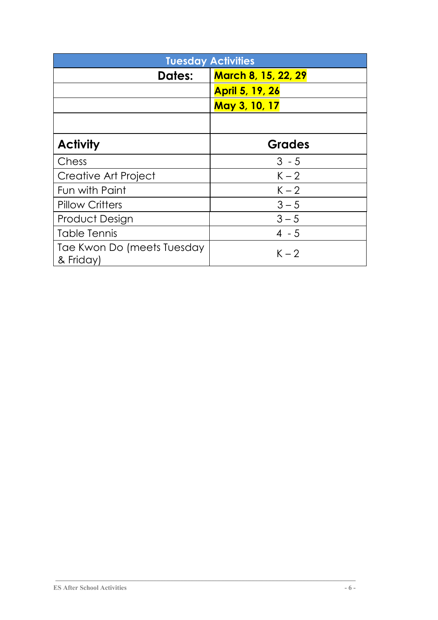|                                         | <b>Tuesday Activities</b>  |
|-----------------------------------------|----------------------------|
| <b>Dates:</b>                           | <b>March 8, 15, 22, 29</b> |
|                                         | <b>April 5, 19, 26</b>     |
|                                         | May 3, 10, 17              |
|                                         |                            |
| <b>Activity</b>                         | <b>Grades</b>              |
| Chess                                   | $3 - 5$                    |
| Creative Art Project                    | $K - 2$                    |
| Fun with Paint                          | $K - 2$                    |
| <b>Pillow Critters</b>                  | $3 - 5$                    |
| <b>Product Design</b>                   | $3 - 5$                    |
| Table Tennis                            | $4 - 5$                    |
| Tae Kwon Do (meets Tuesday<br>& Friday) | $K - 2$                    |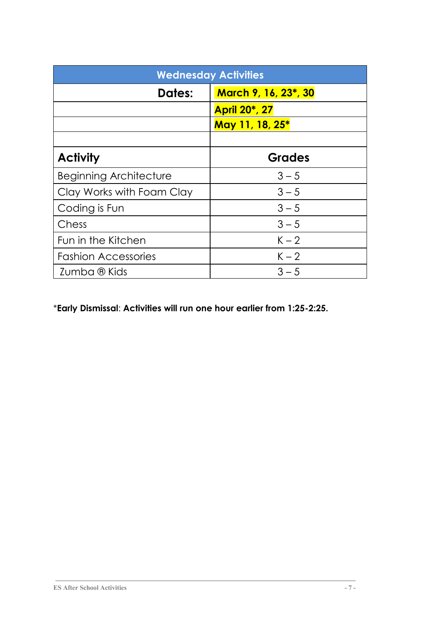|                               | <b>Wednesday Activities</b> |
|-------------------------------|-----------------------------|
| <b>Dates:</b>                 | March 9, 16, 23*, 30        |
|                               | <b>April 20*, 27</b>        |
|                               | May 11, 18, 25*             |
|                               |                             |
| <b>Activity</b>               | <b>Grades</b>               |
| <b>Beginning Architecture</b> | $3 - 5$                     |
| Clay Works with Foam Clay     | $3 - 5$                     |
| Coding is Fun                 | $3 - 5$                     |
| Chess                         | $3 - 5$                     |
| Fun in the Kitchen            | $K - 2$                     |
| <b>Fashion Accessories</b>    | $K - 2$                     |
| Zumba ® Kids                  | $3 - 5$                     |

### \***Early Dismissal**: **Activities will run one hour earlier from 1:25-2:25.**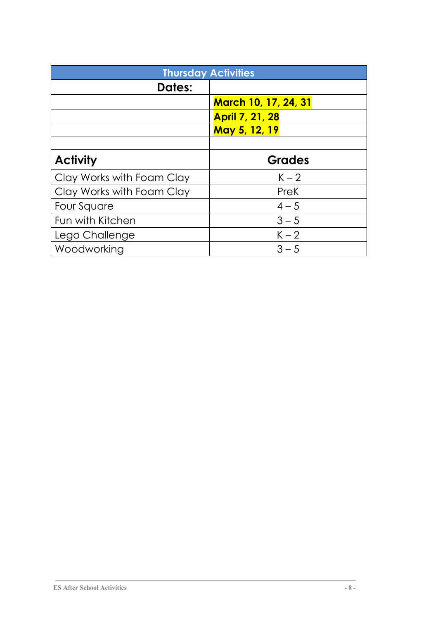| <b>Thursday Activities</b> |                             |
|----------------------------|-----------------------------|
| <b>Dates:</b>              |                             |
|                            | <b>March 10, 17, 24, 31</b> |
|                            | <b>April 7, 21, 28</b>      |
|                            | May 5, 12, 19               |
|                            |                             |
| <b>Activity</b>            | <b>Grades</b>               |
| Clay Works with Foam Clay  | $K - 2$                     |
| Clay Works with Foam Clay  | PreK                        |
| Four Square                | $4 - 5$                     |
| Fun with Kitchen           | $3 - 5$                     |
| Lego Challenge             | $K - 2$                     |
| Woodworking                | $3 - 5$                     |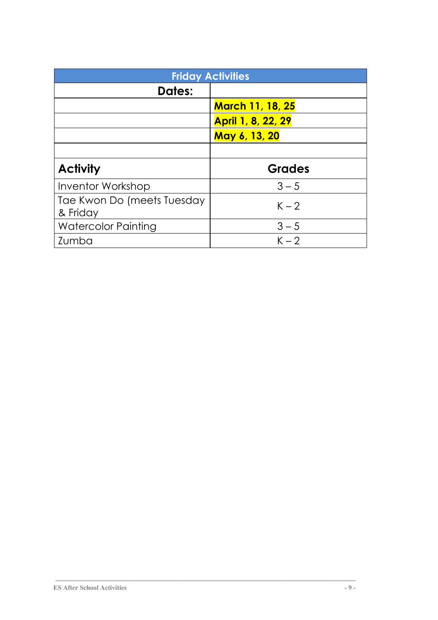|                                        | <b>Friday Activities</b>  |
|----------------------------------------|---------------------------|
| <b>Dates:</b>                          |                           |
|                                        | <b>March 11, 18, 25</b>   |
|                                        | <b>April 1, 8, 22, 29</b> |
|                                        | May 6, 13, 20             |
|                                        |                           |
|                                        |                           |
| <b>Activity</b>                        | <b>Grades</b>             |
| Inventor Workshop                      | $3 - 5$                   |
| Tae Kwon Do (meets Tuesday<br>& Friday | $K - 2$                   |
| <b>Watercolor Painting</b>             | $3 - 5$                   |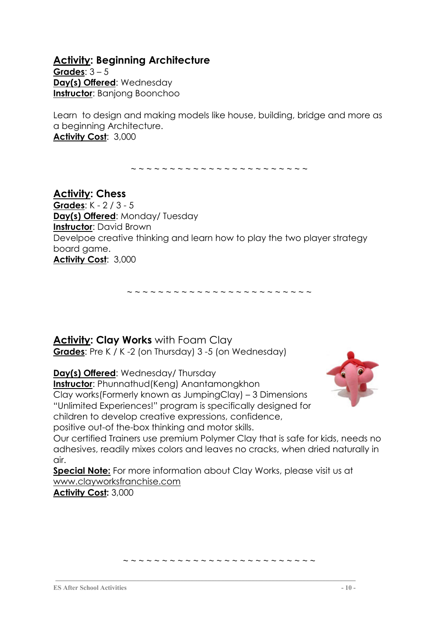#### **Activity: Beginning Architecture**

**Grades**: 3 – 5 **Day(s) Offered**: Wednesday **Instructor**: Banjong Boonchoo

Learn to design and making models like house, building, bridge and more as a beginning Architecture. **Activity Cost**: 3,000

~ ~ ~ ~ ~ ~ ~ ~ ~ ~ ~ ~ ~ ~ ~ ~ ~ ~ ~ ~ ~ ~ ~

**Activity: Chess Grades**: K - 2 / 3 - 5 **Day(s) Offered**: Monday/ Tuesday **Instructor**: David Brown Develpoe creative thinking and learn how to play the two player strategy board game. **Activity Cost**: 3,000

~ ~ ~ ~ ~ ~ ~ ~ ~ ~ ~ ~ ~ ~ ~ ~ ~ ~ ~ ~ ~ ~ ~ ~

#### **Activity: Clay Works** with Foam Clay **Grades**: Pre K / K -2 (on Thursday) 3 -5 (on Wednesday)

**Day(s) Offered**: Wednesday/ Thursday **Instructor**: Phunnathud(Keng) Anantamongkhon Clay works(Formerly known as JumpingClay) – 3 Dimensions "Unlimited Experiences!" program is specifically designed for children to develop creative expressions, confidence, positive out-of the-box thinking and motor skills.



Our certified Trainers use premium Polymer Clay that is safe for kids, needs no adhesives, readily mixes colors and leaves no cracks, when dried naturally in air.

**Special Note:** For more information about Clay Works, please visit us at www.clayworksfranchise.com

**Activity Cost:** 3,000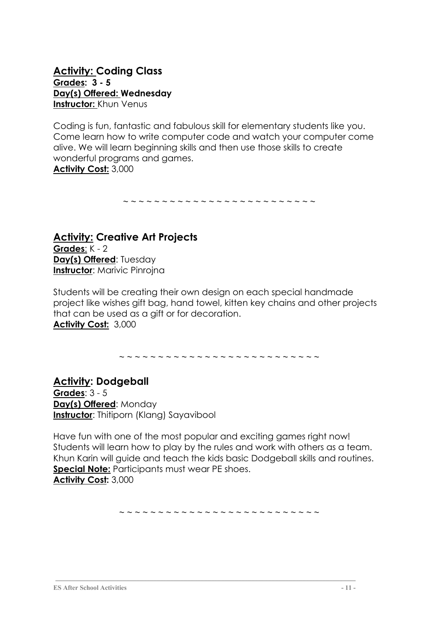#### **Activity: Coding Class Grades: 3 - 5 Day(s) Offered: Wednesday Instructor:** Khun Venus

Coding is fun, fantastic and fabulous skill for elementary students like you. Come learn how to write computer code and watch your computer come alive. We will learn beginning skills and then use those skills to create wonderful programs and games. **Activity Cost:** 3,000

~ ~ ~ ~ ~ ~ ~ ~ ~ ~ ~ ~ ~ ~ ~ ~ ~ ~ ~ ~ ~ ~ ~ ~ ~

**Activity: Creative Art Projects Grades**: K - 2 **Day(s) Offered**: Tuesday **Instructor: Marivic Pinrojna** 

Students will be creating their own design on each special handmade project like wishes gift bag, hand towel, kitten key chains and other projects that can be used as a gift or for decoration. **Activity Cost:** 3,000

~ ~ ~ ~ ~ ~ ~ ~ ~ ~ ~ ~ ~ ~ ~ ~ ~ ~ ~ ~ ~ ~ ~ ~ ~ ~

**Activity: Dodgeball Grades**: 3 - 5 **Day(s) Offered**: Monday **Instructor:** Thitiporn (Klang) Sayavibool

Have fun with one of the most popular and exciting games right now! Students will learn how to play by the rules and work with others as a team. Khun Karin will guide and teach the kids basic Dodgeball skills and routines. **Special Note:** Participants must wear PE shoes. **Activity Cost:** 3,000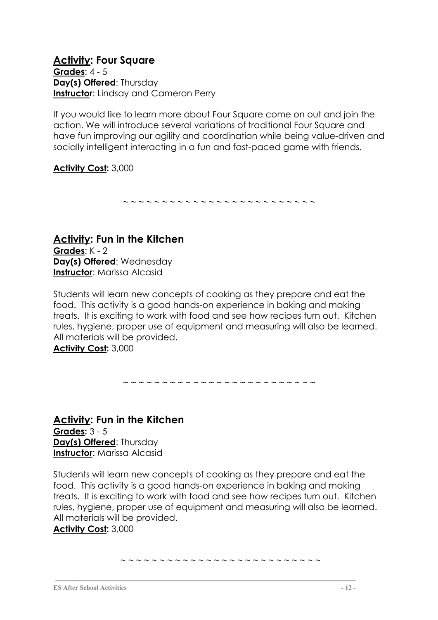**Activity: Four Square Grades**: 4 - 5 **Day(s) Offered**: Thursday **Instructor:** Lindsay and Cameron Perry

If you would like to learn more about Four Square come on out and join the action. We will introduce several variations of traditional Four Square and have fun improving our agility and coordination while being value-driven and socially intelligent interacting in a fun and fast-paced game with friends.

#### **Activity Cost:** 3,000

~ ~ ~ ~ ~ ~ ~ ~ ~ ~ ~ ~ ~ ~ ~ ~ ~ ~ ~ ~ ~ ~ ~ ~ ~

**Activity: Fun in the Kitchen Grades**: K - 2 **Day(s) Offered**: Wednesday **Instructor:** Marissa Alcasid

Students will learn new concepts of cooking as they prepare and eat the food. This activity is a good hands-on experience in baking and making treats. It is exciting to work with food and see how recipes turn out. Kitchen rules, hygiene, proper use of equipment and measuring will also be learned. All materials will be provided. **Activity Cost:** 3,000

~ ~ ~ ~ ~ ~ ~ ~ ~ ~ ~ ~ ~ ~ ~ ~ ~ ~ ~ ~ ~ ~ ~ ~ ~

**Activity: Fun in the Kitchen Grades:** 3 - 5 **Day(s) Offered**: Thursday **Instructor:** Marissa Alcasid

Students will learn new concepts of cooking as they prepare and eat the food. This activity is a good hands-on experience in baking and making treats. It is exciting to work with food and see how recipes turn out. Kitchen rules, hygiene, proper use of equipment and measuring will also be learned. All materials will be provided. **Activity Cost:** 3,000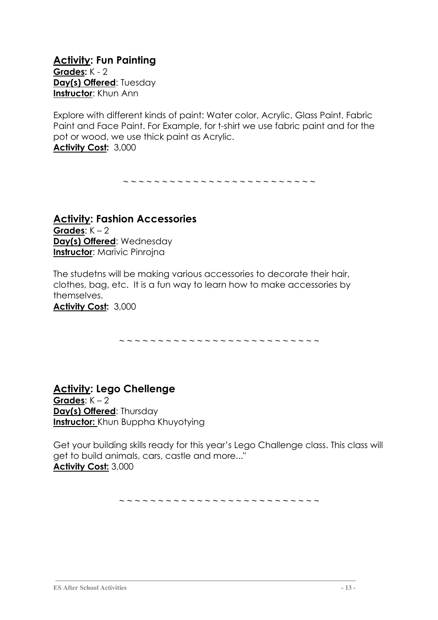**Activity: Fun Painting Grades:** K - 2 **Day(s) Offered:** Tuesday **Instructor**: Khun Ann

Explore with different kinds of paint: Water color, Acrylic, Glass Paint, Fabric Paint and Face Paint. For Example, for t-shirt we use fabric paint and for the pot or wood, we use thick paint as Acrylic.

**Activity Cost:** 3,000

~ ~ ~ ~ ~ ~ ~ ~ ~ ~ ~ ~ ~ ~ ~ ~ ~ ~ ~ ~ ~ ~ ~ ~ ~

**Activity: Fashion Accessories Grades**: K – 2 **Day(s) Offered**: Wednesday **Instructor:** Marivic Pinrojna

The studetns will be making various accessories to decorate their hair, clothes, bag, etc. It is a fun way to learn how to make accessories by themselves.

**Activity Cost:** 3,000

~ ~ ~ ~ ~ ~ ~ ~ ~ ~ ~ ~ ~ ~ ~ ~ ~ ~ ~ ~ ~ ~ ~ ~ ~ ~

**Activity: Lego Chellenge Grades**: K – 2 **Day(s) Offered**: Thursday **Instructor:** Khun Buppha Khuyotying

Get your building skills ready for this year's Lego Challenge class. This class will get to build animals, cars, castle and more..." **Activity Cost:** 3,000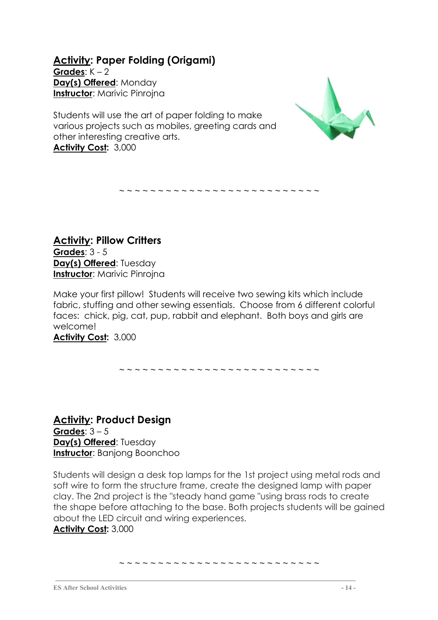**Activity: Paper Folding (Origami) Grades**: K – 2 **Day(s) Offered**: Monday **Instructor**: Marivic Pinrojna

Students will use the art of paper folding to make various projects such as mobiles, greeting cards and other interesting creative arts. **Activity Cost:** 3,000



**Activity: Pillow Critters Grades**: 3 - 5 **Day(s) Offered**: Tuesday **Instructor: Marivic Pinrojna** 

Make your first pillow! Students will receive two sewing kits which include fabric, stuffing and other sewing essentials. Choose from 6 different colorful faces: chick, pig, cat, pup, rabbit and elephant. Both boys and girls are welcome!

~ ~ ~ ~ ~ ~ ~ ~ ~ ~ ~ ~ ~ ~ ~ ~ ~ ~ ~ ~ ~ ~ ~ ~ ~ ~

**Activity Cost:** 3,000

~ ~ ~ ~ ~ ~ ~ ~ ~ ~ ~ ~ ~ ~ ~ ~ ~ ~ ~ ~ ~ ~ ~ ~ ~ ~

**Activity: Product Design Grades**: 3 – 5 **Day(s) Offered**: Tuesday **Instructor**: Banjong Boonchoo

Students will design a desk top lamps for the 1st project using metal rods and soft wire to form the structure frame, create the designed lamp with paper clay. The 2nd project is the "steady hand game "using brass rods to create the shape before attaching to the base. Both projects students will be gained about the LED circuit and wiring experiences. **Activity Cost:** 3,000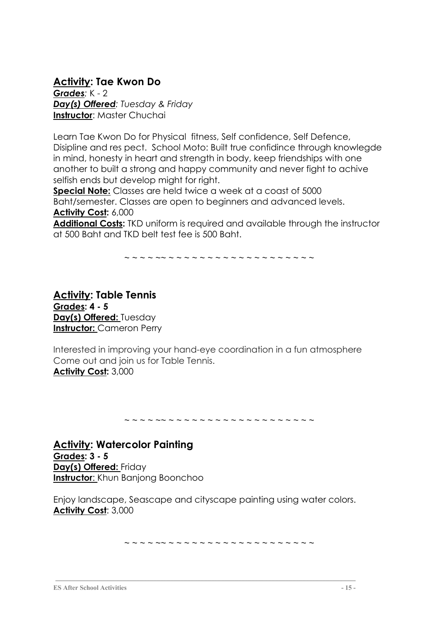#### **Activity: Tae Kwon Do**

*Grades:* K - 2 *Day(s) Offered: Tuesday & Friday* **Instructor**: Master Chuchai

Learn Tae Kwon Do for Physical fitness, Self confidence, Self Defence, Disipline and res pect. School Moto: Built true confidince through knowlegde in mind, honesty in heart and strength in body, keep friendships with one another to built a strong and happy community and never fight to achive selfish ends but develop might for right.

**Special Note:** Classes are held twice a week at a coast of 5000 Baht/semester. Classes are open to beginners and advanced levels. **Activity Cost:** 6,000

**Additional Costs:** TKD uniform is required and available through the instructor at 500 Baht and TKD belt test fee is 500 Baht.

~ ~ ~ ~ ~~ ~ ~ ~ ~ ~ ~ ~ ~ ~ ~ ~ ~ ~ ~ ~ ~ ~ ~ ~

**Activity: Table Tennis Grades: 4 - 5 Day(s) Offered:** Tuesday **Instructor:** Cameron Perry

Interested in improving your hand-eye coordination in a fun atmosphere Come out and join us for Table Tennis. **Activity Cost:** 3,000

~ ~ ~ ~ ~~ ~ ~ ~ ~ ~ ~ ~ ~ ~ ~ ~ ~ ~ ~ ~ ~ ~ ~ ~

**Activity: Watercolor Painting Grades: 3 - 5 Day(s) Offered:** Friday **Instructor**: Khun Banjong Boonchoo

Enjoy landscape, Seascape and cityscape painting using water colors. **Activity Cost**: 3,000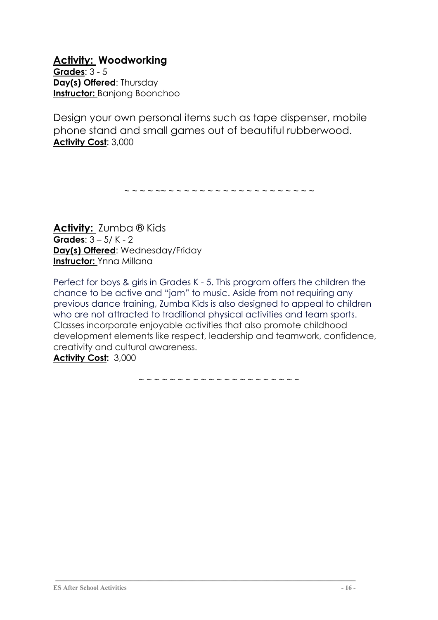**Activity: Woodworking Grades**: 3 - 5 **Day(s) Offered**: Thursday **Instructor:** Banjong Boonchoo

Design your own personal items such as tape dispenser, mobile phone stand and small games out of beautiful rubberwood. **Activity Cost**: 3,000

~ ~ ~ ~ ~~ ~ ~ ~ ~ ~ ~ ~ ~ ~ ~ ~ ~ ~ ~ ~ ~ ~ ~ ~

**Activity:** Zumba ® Kids **Grades**: 3 – 5/ K - 2 **Day(s) Offered**: Wednesday/Friday **Instructor:** Ynna Millana

Perfect for boys & girls in Grades K - 5. This program offers the children the chance to be active and "jam" to music. Aside from not requiring any previous dance training, Zumba Kids is also designed to appeal to children who are not attracted to traditional physical activities and team sports. Classes incorporate enjoyable activities that also promote childhood development elements like respect, leadership and teamwork, confidence, creativity and cultural awareness. **Activity Cost:** 3,000

~ ~ ~ ~ ~ ~ ~ ~ ~ ~ ~ ~ ~ ~ ~ ~ ~ ~ ~ ~ ~